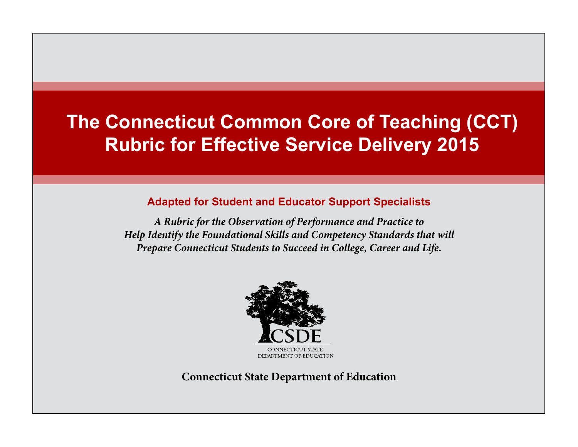# **The Connecticut Common Core of Teaching (CCT) Rubric for Effective Service Delivery 2015**

### **Adapted for Student and Educator Support Specialists**

*A Rubric for the Observation of Performance and Practice to Help Identify the Foundational Skills and Competency Standards that will Prepare Connecticut Students to Succeed in College, Career and Life.*



**Connecticut State Department of Education**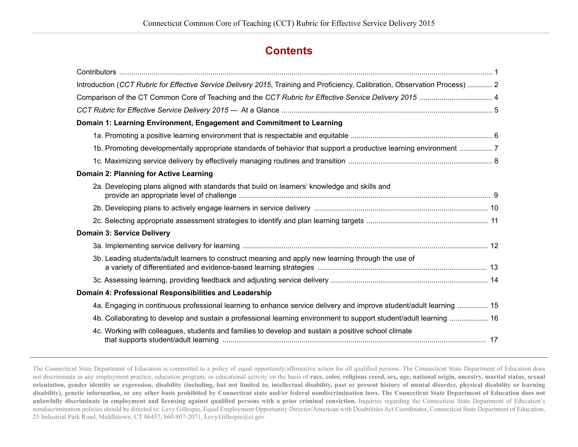### **Contents**

| Introduction (CCT Rubric for Effective Service Delivery 2015, Training and Proficiency, Calibration, Observation Process)  2 |
|------------------------------------------------------------------------------------------------------------------------------|
| Comparison of the CT Common Core of Teaching and the CCT Rubric for Effective Service Delivery 2015  4                       |
|                                                                                                                              |
| Domain 1: Learning Environment, Engagement and Commitment to Learning                                                        |
|                                                                                                                              |
| 1b. Promoting developmentally appropriate standards of behavior that support a productive learning environment  7            |
|                                                                                                                              |
| Domain 2: Planning for Active Learning                                                                                       |
| 2a. Developing plans aligned with standards that build on learners' knowledge and skills and                                 |
|                                                                                                                              |
|                                                                                                                              |
| <b>Domain 3: Service Delivery</b>                                                                                            |
|                                                                                                                              |
| 3b. Leading students/adult learners to construct meaning and apply new learning through the use of                           |
|                                                                                                                              |
| Domain 4: Professional Responsibilities and Leadership                                                                       |
| 4a. Engaging in continuous professional learning to enhance service delivery and improve student/adult learning  15          |
| 4b. Collaborating to develop and sustain a professional learning environment to support student/adult learning  16           |
| 4c. Working with colleagues, students and families to develop and sustain a positive school climate                          |

The Connecticut State Department of Education is committed to a policy of equal opportunity/affirmative action for all qualified persons. The Connecticut State Department of Education does not discriminate in any employment practice, education program, or educational activity on the basis of **race, color, religious creed, sex, age, national origin, ancestry, marital status, sexual orientation, gender identity or expression, disability (including, but not limited to, intellectual disability, past or present history of mental disorder, physical disability or learning disability), genetic information, or any other basis prohibited by Connecticut state and/or federal nondiscrimination laws. The Connecticut State Department of Education does not**  unlawfully discriminate in employment and licensing against qualified persons with a prior criminal conviction. Inquiries regarding the Connecticut State Department of Education's nondiscrimination policies should be directed to: Levy Gillespie, Equal Employment Opportunity Director/American with Disabilities Act Coordinator, Connecticut State Department of Education, 25 Industrial Park Road, Middletown, CT 06457, 860-807-2071, Levy.Gillespie@ct.gov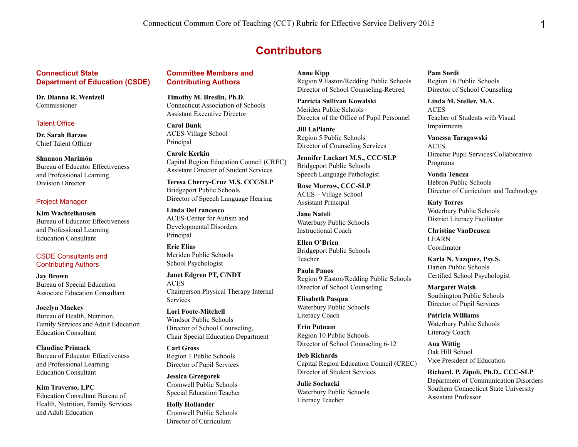### **Contributors**

#### **Connecticut State Department of Education (CSDE)**

**Dr. Dianna R. Wentzell** Commissioner

#### Talent Office

**Dr. Sarah Barzee** Chief Talent Officer

**Shannon Marimón** Bureau of Educator Effectiveness and Professional Learning Division Director

#### Project Manager

**Kim Wachtelhausen** Bureau of Educator Effectiveness and Professional Learning Education Consultant

#### CSDE Consultants and Contributing Authors

**Jay Brown** Bureau of Special Education Associate Education Consultant

**Jocelyn Mackey** Bureau of Health, Nutrition, Family Services and Adult Education Education Consultant

**Claudine Primack** Bureau of Educator Effectiveness and Professional Learning Education Consultant

**Kim Traverso, LPC** Education Consultant Bureau of Health, Nutrition, Family Services and Adult Education

#### **Committee Members and Contributing Authors**

**Timothy M. Breslin, Ph.D.** Connecticut Association of Schools Assistant Executive Director

**Carol Bunk** ACES-Village School Principal

**Carole Kerkin** Capital Region Education Council (CREC) Assistant Director of Student Services

**Teresa Cherry-Cruz M.S. CCC/SLP** Bridgeport Public Schools Director of Speech Language Hearing

**Linda DeFrancesco** ACES-Center for Autism and Developmental Disorders Principal

**Eric Elias** Meriden Public Schools School Psychologist

**Janet Edgren PT, C/NDT** ACES Chairperson Physical Therapy Internal Services

**Lori Foote-Mitchell** Windsor Public Schools Director of School Counseling, Chair Special Education Department

**Carl Gross** Region 1 Public Schools Director of Pupil Services

**Jessica Grzegorek** Cromwell Public Schools Special Education Teacher

**Holly Hollander** Cromwell Public Schools Director of Curriculum

**Anne Kipp**

Region 9 Easton/Redding Public Schools Director of School Counseling-Retired

**Patricia Sullivan Kowalski** Meriden Public Schools Director of the Office of Pupil Personnel

**Jill LaPlante** Region 5 Public Schools Director of Counseling Services

**Jennifer Luckart M.S., CCC/SLP** Bridgeport Public Schools Speech Language Pathologist

**Rose Morrow, CCC-SLP** ACES – Village School Assistant Principal

**Jane Natoli** Waterbury Public Schools Instructional Coach

**Ellen O'Brien** Bridgeport Public Schools Teacher

**Paula Panos** Region 9 Easton/Redding Public Schools Director of School Counseling

**Elisabeth Pasqua** Waterbury Public Schools Literacy Coach

**Erin Putnam** Region 10 Public Schools Director of School Counseling 6-12

**Deb Richards** Capital Region Education Council (CREC) Director of Student Services

**Julie Sochacki** Waterbury Public Schools Literacy Teacher

**Pam Sordi**

Region 16 Public Schools Director of School Counseling

**Linda M. Steller, M.A.** ACES Teacher of Students with Visual Impairments

**Vanessa Taragowski** ACES Director Pupil Services/Collaborative Programs

**Vonda Tencza** Hebron Public Schools Director of Curriculum and Technology

**Katy Torres** Waterbury Public Schools District Literacy Facilitator

**Christine VanDeusen** LEARN Coordinator

**Karla N. Vazquez, Psy.S.** Darien Public Schools Certified School Psychologist

**Margaret Walsh** Southington Public Schools Director of Pupil Services

**Patricia Williams** Waterbury Public Schools Literacy Coach

**Ana Wittig** Oak Hill School Vice President of Education

**Richard. P. Zipoli, Ph.D., CCC-SLP** Department of Communication Disorders Southern Connecticut State University Assistant Professor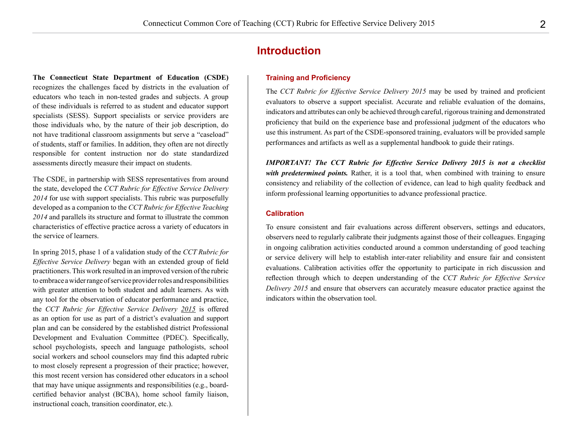#### **Introduction**

#### **Training and Proficiency**

The *CCT Rubric for Effective Service Delivery 2015* may be used by trained and proficient evaluators to observe a support specialist. Accurate and reliable evaluation of the domains, indicators and attributes can only be achieved through careful, rigorous training and demonstrated proficiency that build on the experience base and professional judgment of the educators who use this instrument. As part of the CSDE-sponsored training, evaluators will be provided sample performances and artifacts as well as a supplemental handbook to guide their ratings.

*IMPORTANT! The CCT Rubric for Effective Service Delivery 2015 is not a checklist with predetermined points.* Rather, it is a tool that, when combined with training to ensure consistency and reliability of the collection of evidence, can lead to high quality feedback and inform professional learning opportunities to advance professional practice.

#### **Calibration**

To ensure consistent and fair evaluations across different observers, settings and educators, observers need to regularly calibrate their judgments against those of their colleagues. Engaging in ongoing calibration activities conducted around a common understanding of good teaching or service delivery will help to establish inter-rater reliability and ensure fair and consistent evaluations. Calibration activities offer the opportunity to participate in rich discussion and reflection through which to deepen understanding of the *CCT Rubric for Effective Service Delivery 2015* and ensure that observers can accurately measure educator practice against the indicators within the observation tool.

**The Connecticut State Department of Education (CSDE)**  recognizes the challenges faced by districts in the evaluation of educators who teach in non-tested grades and subjects. A group of these individuals is referred to as student and educator support specialists (SESS). Support specialists or service providers are those individuals who, by the nature of their job description, do not have traditional classroom assignments but serve a "caseload" of students, staff or families. In addition, they often are not directly responsible for content instruction nor do state standardized assessments directly measure their impact on students.

The CSDE, in partnership with SESS representatives from around the state, developed the *CCT Rubric for Effective Service Delivery 2014* for use with support specialists. This rubric was purposefully developed as a companion to the *CCT Rubric for Effective Teaching 2014* and parallels its structure and format to illustrate the common characteristics of effective practice across a variety of educators in the service of learners.

In spring 2015, phase 1 of a validation study of the *CCT Rubric for Effective Service Delivery* began with an extended group of field practitioners. This work resulted in an improved version of the rubric to embrace a wider range of service provider roles and responsibilities with greater attention to both student and adult learners. As with any tool for the observation of educator performance and practice, the *CCT Rubric for Effective Service Delivery 2015* is offered as an option for use as part of a district's evaluation and support plan and can be considered by the established district Professional Development and Evaluation Committee (PDEC). Specifically, school psychologists, speech and language pathologists, school social workers and school counselors may find this adapted rubric to most closely represent a progression of their practice; however, this most recent version has considered other educators in a school that may have unique assignments and responsibilities (e.g., boardcertified behavior analyst (BCBA), home school family liaison, instructional coach, transition coordinator, etc.).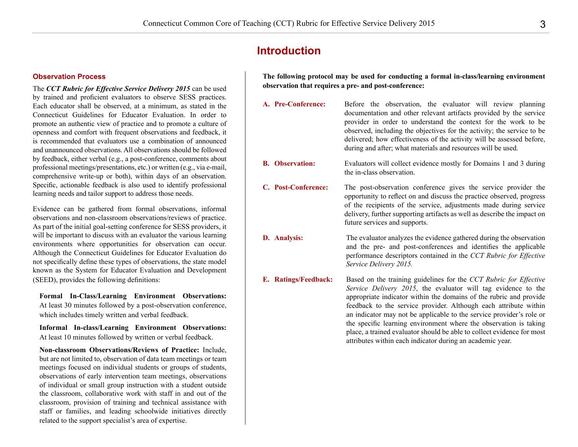### **Introduction**

#### **Observation Process**

The *CCT Rubric for Effective Service Delivery 2015* can be used by trained and proficient evaluators to observe SESS practices. Each educator shall be observed, at a minimum, as stated in the Connecticut Guidelines for Educator Evaluation. In order to promote an authentic view of practice and to promote a culture of openness and comfort with frequent observations and feedback, it is recommended that evaluators use a combination of announced and unannounced observations. All observations should be followed by feedback, either verbal (e.g., a post-conference, comments about professional meetings/presentations, etc.) or written (e.g., via e-mail, comprehensive write-up or both), within days of an observation. Specific, actionable feedback is also used to identify professional learning needs and tailor support to address those needs.

Evidence can be gathered from formal observations, informal observations and non-classroom observations/reviews of practice. As part of the initial goal-setting conference for SESS providers, it will be important to discuss with an evaluator the various learning environments where opportunities for observation can occur. Although the Connecticut Guidelines for Educator Evaluation do not specifically define these types of observations, the state model known as the System for Educator Evaluation and Development (SEED), provides the following definitions:

**Formal In-Class/Learning Environment Observations:** At least 30 minutes followed by a post-observation conference, which includes timely written and verbal feedback.

**Informal In-class/Learning Environment Observations:** At least 10 minutes followed by written or verbal feedback.

**Non-classroom Observations/Reviews of Practice:** Include, but are not limited to, observation of data team meetings or team meetings focused on individual students or groups of students, observations of early intervention team meetings, observations of individual or small group instruction with a student outside the classroom, collaborative work with staff in and out of the classroom, provision of training and technical assistance with staff or families, and leading schoolwide initiatives directly related to the support specialist's area of expertise.

**The following protocol may be used for conducting a formal in-class/learning environment observation that requires a pre- and post-conference:**

- **A. Pre-Conference:** Before the observation, the evaluator will review planning documentation and other relevant artifacts provided by the service provider in order to understand the context for the work to be observed, including the objectives for the activity; the service to be delivered; how effectiveness of the activity will be assessed before, during and after; what materials and resources will be used. **B. Observation: Evaluators will collect evidence mostly for Domains 1 and 3 during** the in-class observation. **C. Post-Conference:** The post-observation conference gives the service provider the opportunity to reflect on and discuss the practice observed, progress of the recipients of the service, adjustments made during service delivery, further supporting artifacts as well as describe the impact on future services and supports. **D. Analysis:** The evaluator analyzes the evidence gathered during the observation and the pre- and post-conferences and identifies the applicable performance descriptors contained in the *CCT Rubric for Effective Service Delivery 2015.* **E. Ratings/Feedback:** Based on the training guidelines for the *CCT Rubric for Effective Service Delivery 2015*, the evaluator will tag evidence to the appropriate indicator within the domains of the rubric and provide
	- feedback to the service provider. Although each attribute within an indicator may not be applicable to the service provider's role or the specific learning environment where the observation is taking place, a trained evaluator should be able to collect evidence for most attributes within each indicator during an academic year.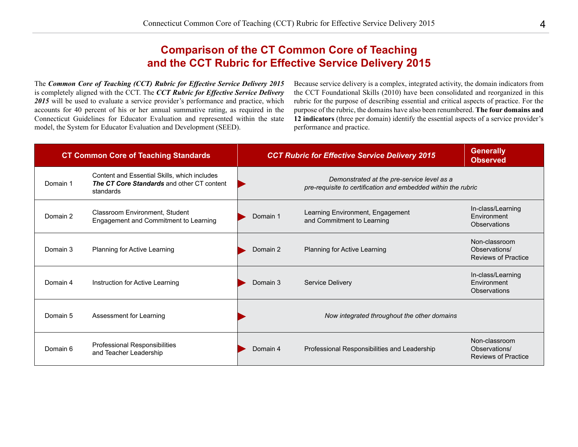## **Comparison of the CT Common Core of Teaching and the CCT Rubric for Effective Service Delivery 2015**

The *Common Core of Teaching (CCT) Rubric for Effective Service Delivery 2015*  is completely aligned with the CCT. The *CCT Rubric for Effective Service Delivery 2015* will be used to evaluate a service provider's performance and practice, which accounts for 40 percent of his or her annual summative rating, as required in the Connecticut Guidelines for Educator Evaluation and represented within the state model, the System for Educator Evaluation and Development (SEED).

Because service delivery is a complex, integrated activity, the domain indicators from the CCT Foundational Skills (2010) have been consolidated and reorganized in this rubric for the purpose of describing essential and critical aspects of practice. For the purpose of the rubric, the domains have also been renumbered. **The four domains and 12 indicators** (three per domain) identify the essential aspects of a service provider's performance and practice.

| <b>CT Common Core of Teaching Standards</b> |                                                                                                                | <b>CCT Rubric for Effective Service Delivery 2015</b>                                                       | <b>Generally</b><br><b>Observed</b>                            |                                                              |
|---------------------------------------------|----------------------------------------------------------------------------------------------------------------|-------------------------------------------------------------------------------------------------------------|----------------------------------------------------------------|--------------------------------------------------------------|
| Domain 1                                    | Content and Essential Skills, which includes<br><b>The CT Core Standards and other CT content</b><br>standards | Demonstrated at the pre-service level as a<br>pre-requisite to certification and embedded within the rubric |                                                                |                                                              |
| Domain 2                                    | Classroom Environment, Student<br>Engagement and Commitment to Learning                                        | Domain 1                                                                                                    | Learning Environment, Engagement<br>and Commitment to Learning | In-class/Learning<br>Environment<br>Observations             |
| Domain 3                                    | Planning for Active Learning                                                                                   | Domain 2                                                                                                    | Planning for Active Learning                                   | Non-classroom<br>Observations/<br><b>Reviews of Practice</b> |
| Domain 4                                    | Instruction for Active Learning                                                                                | Domain 3                                                                                                    | Service Delivery                                               | In-class/Learning<br>Environment<br><b>Observations</b>      |
| Domain 5                                    | Assessment for Learning                                                                                        |                                                                                                             | Now integrated throughout the other domains                    |                                                              |
| Domain 6                                    | Professional Responsibilities<br>and Teacher Leadership                                                        | Domain 4                                                                                                    | Professional Responsibilities and Leadership                   | Non-classroom<br>Observations/<br><b>Reviews of Practice</b> |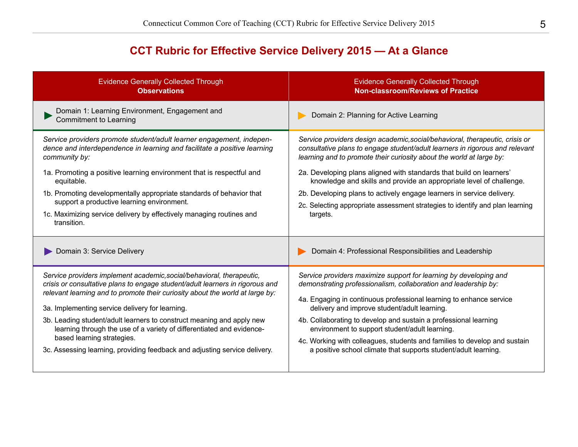# **CCT Rubric for Effective Service Delivery 2015 — At a Glance**

| <b>Evidence Generally Collected Through</b>                                         | <b>Evidence Generally Collected Through</b>                                   |
|-------------------------------------------------------------------------------------|-------------------------------------------------------------------------------|
| <b>Observations</b>                                                                 | <b>Non-classroom/Reviews of Practice</b>                                      |
| Domain 1: Learning Environment, Engagement and<br><b>Commitment to Learning</b>     | Domain 2: Planning for Active Learning                                        |
| Service providers promote student/adult learner engagement, indepen-                | Service providers design academic, social/behavioral, therapeutic, crisis or  |
| dence and interdependence in learning and facilitate a positive learning            | consultative plans to engage student/adult learners in rigorous and relevant  |
| community by:                                                                       | learning and to promote their curiosity about the world at large by:          |
| 1a. Promoting a positive learning environment that is respectful and                | 2a. Developing plans aligned with standards that build on learners'           |
| equitable.                                                                          | knowledge and skills and provide an appropriate level of challenge.           |
| 1b. Promoting developmentally appropriate standards of behavior that                | 2b. Developing plans to actively engage learners in service delivery.         |
| support a productive learning environment.                                          | 2c. Selecting appropriate assessment strategies to identify and plan learning |
| 1c. Maximizing service delivery by effectively managing routines and<br>transition. | targets.                                                                      |
| Domain 3: Service Delivery                                                          | Domain 4: Professional Responsibilities and Leadership                        |
| Service providers implement academic, social/behavioral, therapeutic,               | Service providers maximize support for learning by developing and             |
| crisis or consultative plans to engage student/adult learners in rigorous and       | demonstrating professionalism, collaboration and leadership by:               |
| relevant learning and to promote their curiosity about the world at large by:       | 4a. Engaging in continuous professional learning to enhance service           |
| 3a. Implementing service delivery for learning.                                     | delivery and improve student/adult learning.                                  |
| 3b. Leading student/adult learners to construct meaning and apply new               | 4b. Collaborating to develop and sustain a professional learning              |
| learning through the use of a variety of differentiated and evidence-               | environment to support student/adult learning.                                |
| based learning strategies.                                                          | 4c. Working with colleagues, students and families to develop and sustain     |
| 3c. Assessing learning, providing feedback and adjusting service delivery.          | a positive school climate that supports student/adult learning.               |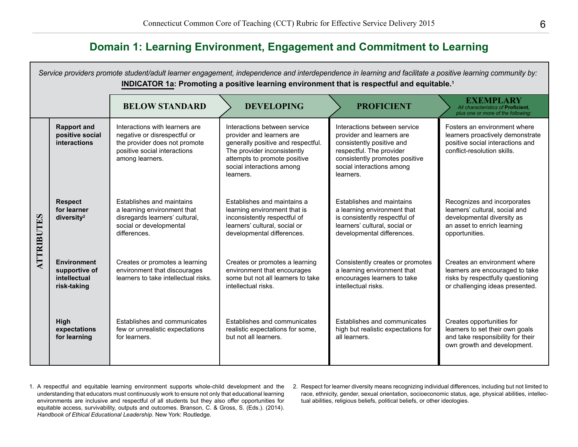# **Domain 1: Learning Environment, Engagement and Commitment to Learning**

*Service providers promote student/adult learner engagement, independence and interdependence in learning and facilitate a positive learning community by:* **INDICATOR 1a: Promoting a positive learning environment that is respectful and equitable.1 BELOW STANDARD DEVELOPING PROFICIENT EXEMPLARY** *All characteristics of* **Proficient***, plus one or more of the following:* **Rapport and**  Interactions with learners are Interactions between service Interactions between service Fosters an environment where **positive social**  negative or disrespectful or provider and learners are provider and learners are learners proactively demonstrate **interactions** the provider does not promote generally positive and respectful. consistently positive and positive social interactions and positive social interactions The provider inconsistently respectful. The provider conflict-resolution skills. among learners. attempts to promote positive consistently promotes positive social interactions among social interactions among learners. learners. **Respect**  Establishes and maintains Establishes and maintains a Establishes and maintains Recognizes and incorporates **for learner**  a learning environment that learning environment that is a learning environment that learners' cultural, social and **ATTRIBUTES ATTRIBUTES diversity2** disregards learners' cultural, inconsistently respectful of is consistently respectful of developmental diversity as social or developmental learners' cultural, social or learners' cultural, social or an asset to enrich learning differences. developmental differences. developmental differences. opportunities. **Environment**  Creates or promotes a learning Creates or promotes a learning Consistently creates or promotes Creates an environment where **supportive of**  environment that discourages environment that encourages a learning environment that learners are encouraged to take **intellectual**  learners to take intellectual risks. some but not all learners to take encourages learners to take risks by respectfully questioning **risk-taking** intellectual risks. intellectual risks. or challenging ideas presented. Establishes and communicates Establishes and communicates Establishes and communicates Creates opportunities for **High**  few or unrealistic expectations realistic expectations for some, high but realistic expectations for learners to set their own goals **expectations for learning** for learners. but not all learners. all learners. and take responsibility for their own growth and development.

- 1. A respectful and equitable learning environment supports whole-child development and the understanding that educators must continuously work to ensure not only that educational learning environments are inclusive and respectful of all students but they also offer opportunities for equitable access, survivability, outputs and outcomes. Branson, C. & Gross, S. (Eds.). (2014). *Handbook of Ethical Educational Leadership.* New York: Routledge.
- 2. Respect for learner diversity means recognizing individual differences, including but not limited to race, ethnicity, gender, sexual orientation, socioeconomic status, age, physical abilities, intellectual abilities, religious beliefs, political beliefs, or other ideologies.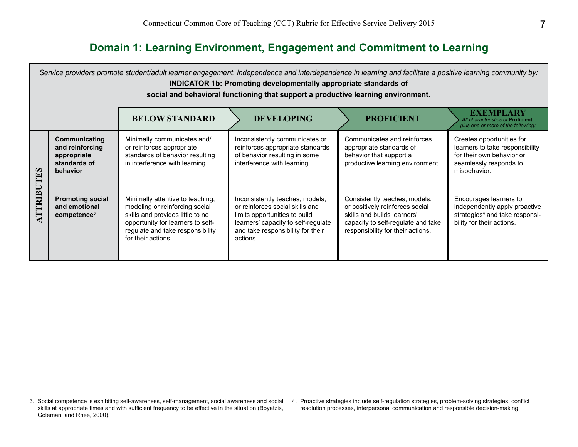# **Domain 1: Learning Environment, Engagement and Commitment to Learning**

|         | Service providers promote student/adult learner engagement, independence and interdependence in learning and facilitate a positive learning community by:<br><b>INDICATOR 1b: Promoting developmentally appropriate standards of</b><br>social and behavioral functioning that support a productive learning environment. |                                                                                                                                                                                                       |                                                                                                                                                                                             |                                                                                                                                                                            |                                                                                                                                     |  |  |
|---------|---------------------------------------------------------------------------------------------------------------------------------------------------------------------------------------------------------------------------------------------------------------------------------------------------------------------------|-------------------------------------------------------------------------------------------------------------------------------------------------------------------------------------------------------|---------------------------------------------------------------------------------------------------------------------------------------------------------------------------------------------|----------------------------------------------------------------------------------------------------------------------------------------------------------------------------|-------------------------------------------------------------------------------------------------------------------------------------|--|--|
|         |                                                                                                                                                                                                                                                                                                                           | <b>BELOW STANDARD</b>                                                                                                                                                                                 | <b>DEVELOPING</b>                                                                                                                                                                           | <b>PROFICIENT</b>                                                                                                                                                          | <b>EXEMPLARY</b><br>All characteristics of Proficient,<br>plus one or more of the following:                                        |  |  |
| E       | Communicating<br>and reinforcing<br>appropriate<br>standards of<br>behavior                                                                                                                                                                                                                                               | Minimally communicates and/<br>or reinforces appropriate<br>standards of behavior resulting<br>in interference with learning.                                                                         | Inconsistently communicates or<br>reinforces appropriate standards<br>of behavior resulting in some<br>interference with learning.                                                          | Communicates and reinforces<br>appropriate standards of<br>behavior that support a<br>productive learning environment.                                                     | Creates opportunities for<br>learners to take responsibility<br>for their own behavior or<br>seamlessly responds to<br>misbehavior. |  |  |
| ATTRIBU | <b>Promoting social</b><br>and emotional<br>competence <sup>3</sup>                                                                                                                                                                                                                                                       | Minimally attentive to teaching,<br>modeling or reinforcing social<br>skills and provides little to no<br>opportunity for learners to self-<br>regulate and take responsibility<br>for their actions. | Inconsistently teaches, models,<br>or reinforces social skills and<br>limits opportunities to build<br>learners' capacity to self-regulate<br>and take responsibility for their<br>actions. | Consistently teaches, models,<br>or positively reinforces social<br>skills and builds learners'<br>capacity to self-regulate and take<br>responsibility for their actions. | Encourages learners to<br>independently apply proactive<br>strategies <sup>4</sup> and take responsi-<br>bility for their actions.  |  |  |

<sup>3.</sup> Social competence is exhibiting self-awareness, self-management, social awareness and social 4. Proactive strategies include self-regulation strategies, problem-solving strategies, conflict skills at appropriate times and with sufficient frequency to be effective in the situation (Boyatzis, Goleman, and Rhee, 2000).

resolution processes, interpersonal communication and responsible decision-making.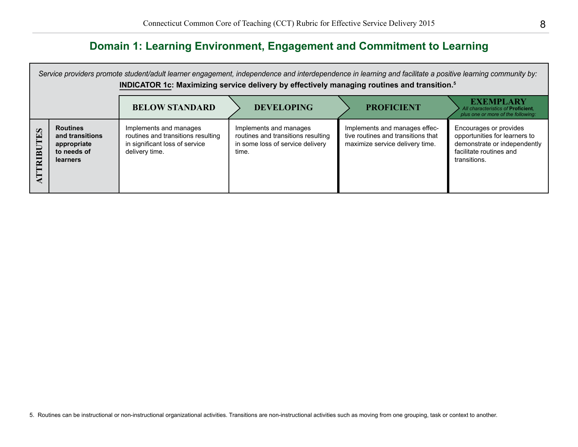# **Domain 1: Learning Environment, Engagement and Commitment to Learning**

|                                   | Service providers promote student/adult learner engagement, independence and interdependence in learning and facilitate a positive learning community by:<br>INDICATOR 1c: Maximizing service delivery by effectively managing routines and transition. <sup>5</sup> |                                                                                                                  |                                                                                                           |                                                                                                        |                                                                                                                                    |  |  |
|-----------------------------------|----------------------------------------------------------------------------------------------------------------------------------------------------------------------------------------------------------------------------------------------------------------------|------------------------------------------------------------------------------------------------------------------|-----------------------------------------------------------------------------------------------------------|--------------------------------------------------------------------------------------------------------|------------------------------------------------------------------------------------------------------------------------------------|--|--|
|                                   |                                                                                                                                                                                                                                                                      | <b>BELOW STANDARD</b>                                                                                            | <b>DEVELOPING</b>                                                                                         | <b>PROFICIENT</b>                                                                                      | <b>EXEMPLARY</b><br>All characteristics of Proficient.<br>plus one or more of the following:                                       |  |  |
| $\boldsymbol{\omega}$<br>囗<br>BUI | <b>Routines</b><br>and transitions<br>appropriate<br>to needs of<br><b>learners</b>                                                                                                                                                                                  | Implements and manages<br>routines and transitions resulting<br>in significant loss of service<br>delivery time. | Implements and manages<br>routines and transitions resulting<br>in some loss of service delivery<br>time. | Implements and manages effec-<br>tive routines and transitions that<br>maximize service delivery time. | Encourages or provides<br>opportunities for learners to<br>demonstrate or independently<br>facilitate routines and<br>transitions. |  |  |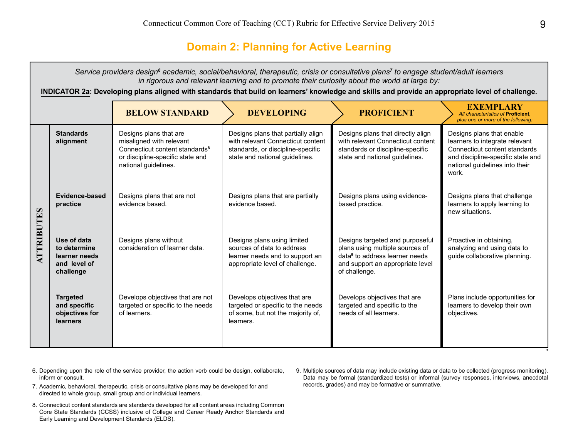### **Domain 2: Planning for Active Learning**

|                   | Service providers design <sup>6</sup> academic, social/behavioral, therapeutic, crisis or consultative plans <sup>7</sup> to engage student/adult learners<br>in rigorous and relevant learning and to promote their curiosity about the world at large by: |                                                                                                                                                              |                                                                                                                                                |                                                                                                                                                                       |                                                                                                                                                                              |  |  |
|-------------------|-------------------------------------------------------------------------------------------------------------------------------------------------------------------------------------------------------------------------------------------------------------|--------------------------------------------------------------------------------------------------------------------------------------------------------------|------------------------------------------------------------------------------------------------------------------------------------------------|-----------------------------------------------------------------------------------------------------------------------------------------------------------------------|------------------------------------------------------------------------------------------------------------------------------------------------------------------------------|--|--|
|                   |                                                                                                                                                                                                                                                             | INDICATOR 2a: Developing plans aligned with standards that build on learners' knowledge and skills and provide an appropriate level of challenge.            |                                                                                                                                                |                                                                                                                                                                       |                                                                                                                                                                              |  |  |
|                   |                                                                                                                                                                                                                                                             | <b>BELOW STANDARD</b>                                                                                                                                        | <b>DEVELOPING</b>                                                                                                                              | <b>PROFICIENT</b>                                                                                                                                                     | <b>EXEMPLARY</b><br>All characteristics of Proficient.<br>plus one or more of the following:                                                                                 |  |  |
| <b>ATTRIBUTES</b> | <b>Standards</b><br>alignment                                                                                                                                                                                                                               | Designs plans that are<br>misaligned with relevant<br>Connecticut content standards <sup>8</sup><br>or discipline-specific state and<br>national guidelines. | Designs plans that partially align<br>with relevant Connecticut content<br>standards, or discipline-specific<br>state and national guidelines. | Designs plans that directly align<br>with relevant Connecticut content<br>standards or discipline-specific<br>state and national guidelines.                          | Designs plans that enable<br>learners to integrate relevant<br>Connecticut content standards<br>and discipline-specific state and<br>national quidelines into their<br>work. |  |  |
|                   | Evidence-based<br>practice                                                                                                                                                                                                                                  | Designs plans that are not<br>evidence based.                                                                                                                | Designs plans that are partially<br>evidence based.                                                                                            | Designs plans using evidence-<br>based practice.                                                                                                                      | Designs plans that challenge<br>learners to apply learning to<br>new situations.                                                                                             |  |  |
|                   | Use of data<br>to determine<br>learner needs<br>and level of<br>challenge                                                                                                                                                                                   | Designs plans without<br>consideration of learner data.                                                                                                      | Designs plans using limited<br>sources of data to address<br>learner needs and to support an<br>appropriate level of challenge.                | Designs targeted and purposeful<br>plans using multiple sources of<br>data <sup>9</sup> to address learner needs<br>and support an appropriate level<br>of challenge. | Proactive in obtaining,<br>analyzing and using data to<br>guide collaborative planning.                                                                                      |  |  |
|                   | <b>Targeted</b><br>and specific<br>objectives for<br><b>learners</b>                                                                                                                                                                                        | Develops objectives that are not<br>targeted or specific to the needs<br>of learners.                                                                        | Develops objectives that are<br>targeted or specific to the needs<br>of some, but not the majority of,<br>learners.                            | Develops objectives that are<br>targeted and specific to the<br>needs of all learners.                                                                                | Plans include opportunities for<br>learners to develop their own<br>objectives.                                                                                              |  |  |

- 6. Depending upon the role of the service provider, the action verb could be design, collaborate, inform or consult.
- 7. Academic, behavioral, therapeutic, crisis or consultative plans may be developed for and directed to whole group, small group and or individual learners.
- 8. Connecticut content standards are standards developed for all content areas including Common Core State Standards (CCSS) inclusive of College and Career Ready Anchor Standards and Early Learning and Development Standards (ELDS).
- 9. Multiple sources of data may include existing data or data to be collected (progress monitoring). Data may be formal (standardized tests) or informal (survey responses, interviews, anecdotal records, grades) and may be formative or summative.

*\**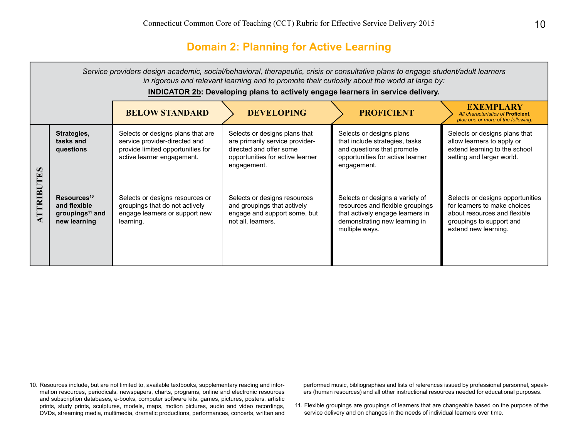### **Domain 2: Planning for Active Learning**

|                                            | Service providers design academic, social/behavioral, therapeutic, crisis or consultative plans to engage student/adult learners<br>in rigorous and relevant learning and to promote their curiosity about the world at large by:<br><b>INDICATOR 2b: Developing plans to actively engage learners in service delivery.</b> |                                                                                                                                       |                                                                                                                                                |                                                                                                                                                            |                                                                                                                                                      |  |
|--------------------------------------------|-----------------------------------------------------------------------------------------------------------------------------------------------------------------------------------------------------------------------------------------------------------------------------------------------------------------------------|---------------------------------------------------------------------------------------------------------------------------------------|------------------------------------------------------------------------------------------------------------------------------------------------|------------------------------------------------------------------------------------------------------------------------------------------------------------|------------------------------------------------------------------------------------------------------------------------------------------------------|--|
|                                            |                                                                                                                                                                                                                                                                                                                             | <b>BELOW STANDARD</b>                                                                                                                 | <b>DEVELOPING</b>                                                                                                                              | <b>PROFICIENT</b>                                                                                                                                          | <b>EXEMPLARY</b><br>All characteristics of Proficient.<br>plus one or more of the following:                                                         |  |
| $\boldsymbol{\omega}$<br>$\lceil - \rceil$ | Strategies,<br>tasks and<br>questions                                                                                                                                                                                                                                                                                       | Selects or designs plans that are<br>service provider-directed and<br>provide limited opportunities for<br>active learner engagement. | Selects or designs plans that<br>are primarily service provider-<br>directed and offer some<br>opportunities for active learner<br>engagement. | Selects or designs plans<br>that include strategies, tasks<br>and questions that promote<br>opportunities for active learner<br>engagement.                | Selects or designs plans that<br>allow learners to apply or<br>extend learning to the school<br>setting and larger world.                            |  |
| <b>ATTRIB</b>                              | Resources <sup>10</sup><br>and flexible<br>groupings <sup>11</sup> and<br>new learning                                                                                                                                                                                                                                      | Selects or designs resources or<br>groupings that do not actively<br>engage learners or support new<br>learning.                      | Selects or designs resources<br>and groupings that actively<br>engage and support some, but<br>not all, learners.                              | Selects or designs a variety of<br>resources and flexible groupings<br>that actively engage learners in<br>demonstrating new learning in<br>multiple ways. | Selects or designs opportunities<br>for learners to make choices<br>about resources and flexible<br>groupings to support and<br>extend new learning. |  |

10. Resources include, but are not limited to, available textbooks, supplementary reading and information resources, periodicals, newspapers, charts, programs, online and electronic resources and subscription databases, e-books, computer software kits, games, pictures, posters, artistic prints, study prints, sculptures, models, maps, motion pictures, audio and video recordings, DVDs, streaming media, multimedia, dramatic productions, performances, concerts, written and

performed music, bibliographies and lists of references issued by professional personnel, speakers (human resources) and all other instructional resources needed for educational purposes.

 11. Flexible groupings are groupings of learners that are changeable based on the purpose of the service delivery and on changes in the needs of individual learners over time.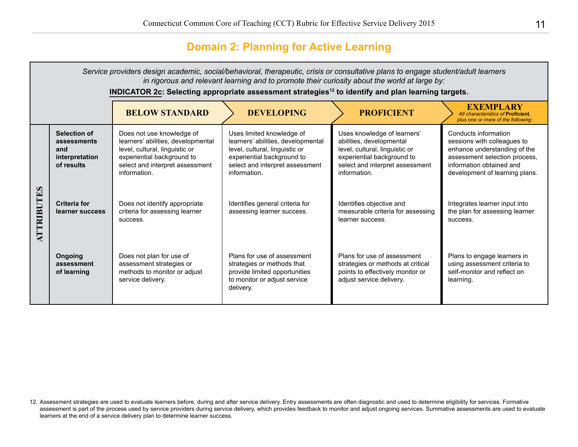# **Domain 2: Planning for Active Learning**

|                       | Service providers design academic, social/behavioral, therapeutic, crisis or consultative plans to engage student/adult learners<br>in rigorous and relevant learning and to promote their curiosity about the world at large by:<br>INDICATOR 2c: Selecting appropriate assessment strategies <sup>12</sup> to identify and plan learning targets. |                                                                                                                                                                                    |                                                                                                                                                                                    |                                                                                                                                                                            |                                                                                                                                                                                    |  |  |
|-----------------------|-----------------------------------------------------------------------------------------------------------------------------------------------------------------------------------------------------------------------------------------------------------------------------------------------------------------------------------------------------|------------------------------------------------------------------------------------------------------------------------------------------------------------------------------------|------------------------------------------------------------------------------------------------------------------------------------------------------------------------------------|----------------------------------------------------------------------------------------------------------------------------------------------------------------------------|------------------------------------------------------------------------------------------------------------------------------------------------------------------------------------|--|--|
|                       |                                                                                                                                                                                                                                                                                                                                                     | <b>BELOW STANDARD</b>                                                                                                                                                              | <b>DEVELOPING</b>                                                                                                                                                                  | <b>PROFICIENT</b>                                                                                                                                                          | <b>EXEMPLARY</b><br>All characteristics of Proficient.<br>plus one or more of the following:                                                                                       |  |  |
| $\boldsymbol{\omega}$ | <b>Selection of</b><br>assessments<br>and<br>interpretation<br>of results                                                                                                                                                                                                                                                                           | Does not use knowledge of<br>learners' abilities, developmental<br>level, cultural, linguistic or<br>experiential background to<br>select and interpret assessment<br>information. | Uses limited knowledge of<br>learners' abilities, developmental<br>level, cultural, linguistic or<br>experiential background to<br>select and interpret assessment<br>information. | Uses knowledge of learners'<br>abilities, developmental<br>level, cultural, linguistic or<br>experiential background to<br>select and interpret assessment<br>information. | Conducts information<br>sessions with colleagues to<br>enhance understanding of the<br>assessment selection process,<br>information obtained and<br>development of learning plans. |  |  |
| <b>ATTRIBUTE</b>      | <b>Criteria for</b><br>learner success                                                                                                                                                                                                                                                                                                              | Does not identify appropriate<br>criteria for assessing learner<br>success.                                                                                                        | Identifies general criteria for<br>assessing learner success.                                                                                                                      | Identifies objective and<br>measurable criteria for assessing<br>learner success.                                                                                          | Integrates learner input into<br>the plan for assessing learner<br>success.                                                                                                        |  |  |
|                       | Ongoing<br>assessment<br>of learning                                                                                                                                                                                                                                                                                                                | Does not plan for use of<br>assessment strategies or<br>methods to monitor or adjust<br>service delivery.                                                                          | Plans for use of assessment<br>strategies or methods that<br>provide limited opportunities<br>to monitor or adjust service<br>delivery.                                            | Plans for use of assessment<br>strategies or methods at critical<br>points to effectively monitor or<br>adjust service delivery.                                           | Plans to engage learners in<br>using assessment criteria to<br>self-monitor and reflect on<br>learning.                                                                            |  |  |

<sup>12.</sup> Assessment strategies are used to evaluate learners before, during and after service delivery. Entry assessments are often diagnostic and used to determine eligibility for services. Formative assessment is part of the process used by service providers during service delivery, which provides feedback to monitor and adjust ongoing services. Summative assessments are used to evaluate learners at the end of a service delivery plan to determine learner success.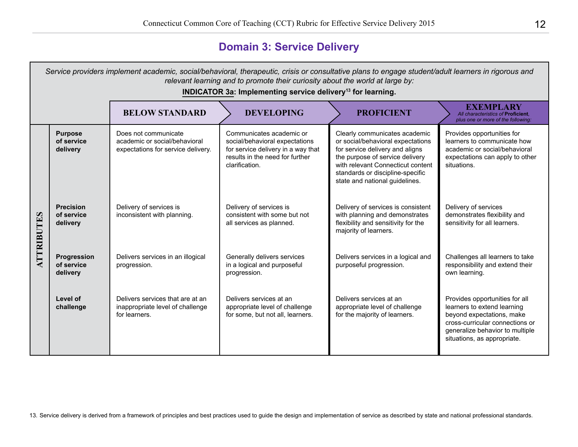# **Domain 3: Service Delivery**

|                   | Service providers implement academic, social/behavioral, therapeutic, crisis or consultative plans to engage student/adult learners in rigorous and<br>relevant learning and to promote their curiosity about the world at large by:<br>INDICATOR 3a: Implementing service delivery <sup>13</sup> for learning. |                                                                                             |                                                                                                                                                       |                                                                                                                                                                                                                                                     |                                                                                                                                                                                                 |  |  |  |
|-------------------|-----------------------------------------------------------------------------------------------------------------------------------------------------------------------------------------------------------------------------------------------------------------------------------------------------------------|---------------------------------------------------------------------------------------------|-------------------------------------------------------------------------------------------------------------------------------------------------------|-----------------------------------------------------------------------------------------------------------------------------------------------------------------------------------------------------------------------------------------------------|-------------------------------------------------------------------------------------------------------------------------------------------------------------------------------------------------|--|--|--|
|                   |                                                                                                                                                                                                                                                                                                                 | <b>BELOW STANDARD</b>                                                                       | <b>DEVELOPING</b>                                                                                                                                     | <b>PROFICIENT</b>                                                                                                                                                                                                                                   | <b>EXEMPLARY</b><br>All characteristics of Proficient,<br>plus one or more of the following:                                                                                                    |  |  |  |
| <b>ATTRIBUTES</b> | <b>Purpose</b><br>of service<br>delivery                                                                                                                                                                                                                                                                        | Does not communicate<br>academic or social/behavioral<br>expectations for service delivery. | Communicates academic or<br>social/behavioral expectations<br>for service delivery in a way that<br>results in the need for further<br>clarification. | Clearly communicates academic<br>or social/behavioral expectations<br>for service delivery and aligns<br>the purpose of service delivery<br>with relevant Connecticut content<br>standards or discipline-specific<br>state and national guidelines. | Provides opportunities for<br>learners to communicate how<br>academic or social/behavioral<br>expectations can apply to other<br>situations.                                                    |  |  |  |
|                   | <b>Precision</b><br>of service<br>delivery                                                                                                                                                                                                                                                                      | Delivery of services is<br>inconsistent with planning.                                      | Delivery of services is<br>consistent with some but not<br>all services as planned.                                                                   | Delivery of services is consistent<br>with planning and demonstrates<br>flexibility and sensitivity for the<br>majority of learners.                                                                                                                | Delivery of services<br>demonstrates flexibility and<br>sensitivity for all learners.                                                                                                           |  |  |  |
|                   | <b>Progression</b><br>of service<br>delivery                                                                                                                                                                                                                                                                    | Delivers services in an illogical<br>progression.                                           | Generally delivers services<br>in a logical and purposeful<br>progression.                                                                            | Delivers services in a logical and<br>purposeful progression.                                                                                                                                                                                       | Challenges all learners to take<br>responsibility and extend their<br>own learning.                                                                                                             |  |  |  |
|                   | Level of<br>challenge                                                                                                                                                                                                                                                                                           | Delivers services that are at an<br>inappropriate level of challenge<br>for learners.       | Delivers services at an<br>appropriate level of challenge<br>for some, but not all, learners.                                                         | Delivers services at an<br>appropriate level of challenge<br>for the majority of learners.                                                                                                                                                          | Provides opportunities for all<br>learners to extend learning<br>beyond expectations, make<br>cross-curricular connections or<br>generalize behavior to multiple<br>situations, as appropriate. |  |  |  |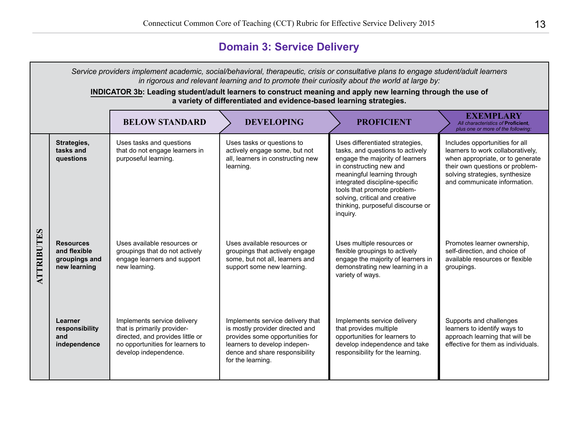## **Domain 3: Service Delivery**

*Service providers implement academic, social/behavioral, therapeutic, crisis or consultative plans to engage student/adult learners in rigorous and relevant learning and to promote their curiosity about the world at large by:* **INDICATOR 3b: Leading student/adult learners to construct meaning and apply new learning through the use of a variety of differentiated and evidence-based learning strategies. BELOW STANDARD DEVELOPING PROFICIENT EXEMPLARY** *All characteristics of* **Proficient***, plus one or more of the following:* **Strategies,**  Uses tasks and questions Uses tasks or questions to Uses differentiated strategies, Includes opportunities for all **tasks and**  that do not engage learners in actively engage some, but not tasks, and questions to actively learners to work collaboratively, **questions**  purposeful learning. all, learners in constructing new engage the majority of learners when appropriate, or to generate learning. in constructing new and their own questions or problemmeaningful learning through solving strategies, synthesize integrated discipline-specific and communicate information. tools that promote problemsolving, critical and creative thinking, purposeful discourse or inquiry. **ATTRIBUTES ATTRIBUTES Resources**  Uses available resources or Uses available resources or Uses multiple resources or Promotes learner ownership, **and flexible**  groupings that do not actively groupings that actively engage flexible groupings to actively self-direction, and choice of **groupings and**  engage learners and support some, but not all, learners and engage the majority of learners in available resources or flexible **new learning** new learning. support some new learning. demonstrating new learning in a groupings. variety of ways. **Learner**  Implements service delivery Implements service delivery that Implements service delivery Supports and challenges **responsibility** that is primarily provideris mostly provider directed and that provides multiple learners to identify ways to directed, and provides little or **and**  provides some opportunities for opportunities for learners to approach learning that will be no opportunities for learners to learners to develop independevelop independence and take effective for them as individuals.**independence** develop independence. dence and share responsibility responsibility for the learning. for the learning.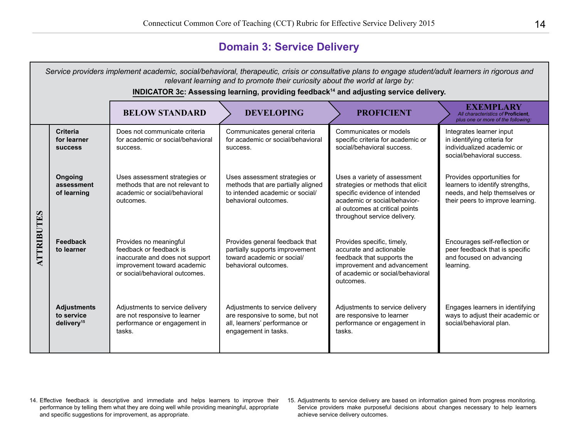# **Domain 3: Service Delivery**

|                   | Service providers implement academic, social/behavioral, therapeutic, crisis or consultative plans to engage student/adult learners in rigorous and<br>relevant learning and to promote their curiosity about the world at large by:<br>INDICATOR 3c: Assessing learning, providing feedback <sup>14</sup> and adjusting service delivery. |                                                                                                                                                       |                                                                                                                                |                                                                                                                                                                                                      |                                                                                                                                    |  |  |  |
|-------------------|--------------------------------------------------------------------------------------------------------------------------------------------------------------------------------------------------------------------------------------------------------------------------------------------------------------------------------------------|-------------------------------------------------------------------------------------------------------------------------------------------------------|--------------------------------------------------------------------------------------------------------------------------------|------------------------------------------------------------------------------------------------------------------------------------------------------------------------------------------------------|------------------------------------------------------------------------------------------------------------------------------------|--|--|--|
|                   |                                                                                                                                                                                                                                                                                                                                            | <b>BELOW STANDARD</b>                                                                                                                                 | <b>DEVELOPING</b>                                                                                                              | <b>PROFICIENT</b>                                                                                                                                                                                    | <b>EXEMPLARY</b><br>All characteristics of Proficient.<br>plus one or more of the following:                                       |  |  |  |
| <b>ATTRIBUTES</b> | Criteria<br>for learner<br><b>SUCCESS</b>                                                                                                                                                                                                                                                                                                  | Does not communicate criteria<br>for academic or social/behavioral<br>success.                                                                        | Communicates general criteria<br>for academic or social/behavioral<br>success.                                                 | Communicates or models<br>specific criteria for academic or<br>social/behavioral success.                                                                                                            | Integrates learner input<br>in identifying criteria for<br>individualized academic or<br>social/behavioral success.                |  |  |  |
|                   | Ongoing<br>assessment<br>of learning                                                                                                                                                                                                                                                                                                       | Uses assessment strategies or<br>methods that are not relevant to<br>academic or social/behavioral<br>outcomes.                                       | Uses assessment strategies or<br>methods that are partially aligned<br>to intended academic or social/<br>behavioral outcomes. | Uses a variety of assessment<br>strategies or methods that elicit<br>specific evidence of intended<br>academic or social/behavior-<br>al outcomes at critical points<br>throughout service delivery. | Provides opportunities for<br>learners to identify strengths,<br>needs, and help themselves or<br>their peers to improve learning. |  |  |  |
|                   | Feedback<br>to learner                                                                                                                                                                                                                                                                                                                     | Provides no meaningful<br>feedback or feedback is<br>inaccurate and does not support<br>improvement toward academic<br>or social/behavioral outcomes. | Provides general feedback that<br>partially supports improvement<br>toward academic or social/<br>behavioral outcomes.         | Provides specific, timely,<br>accurate and actionable<br>feedback that supports the<br>improvement and advancement<br>of academic or social/behavioral<br>outcomes.                                  | Encourages self-reflection or<br>peer feedback that is specific<br>and focused on advancing<br>learning.                           |  |  |  |
|                   | <b>Adjustments</b><br>to service<br>delivery <sup>15</sup>                                                                                                                                                                                                                                                                                 | Adjustments to service delivery<br>are not responsive to learner<br>performance or engagement in<br>tasks.                                            | Adjustments to service delivery<br>are responsive to some, but not<br>all, learners' performance or<br>engagement in tasks.    | Adjustments to service delivery<br>are responsive to learner<br>performance or engagement in<br>tasks.                                                                                               | Engages learners in identifying<br>ways to adjust their academic or<br>social/behavioral plan.                                     |  |  |  |

- 14. Effective feedback is descriptive and immediate and helps learners to improve their performance by telling them what they are doing well while providing meaningful, appropriate and specific suggestions for improvement, as appropriate.
- 15. Adjustments to service delivery are based on information gained from progress monitoring. Service providers make purposeful decisions about changes necessary to help learners achieve service delivery outcomes.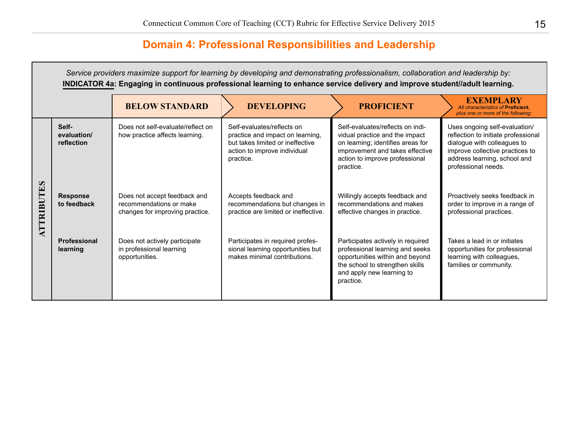## **Domain 4: Professional Responsibilities and Leadership**

*Service providers maximize support for learning by developing and demonstrating professionalism, collaboration and leadership by:* **INDICATOR 4a: Engaging in continuous professional learning to enhance service delivery and improve student//adult learning. BELOW STANDARD DEVELOPING PROFICIENT** All characteristics of Proficie *All characteristics of* **Proficient***, plus one or more of the following:* **Self-**Does not self-evaluate/reflect on Self-evaluates/reflects on indi-Uses ongoing self-evaluation/ Self-evaluates/reflects on **evaluation/** reflection to initiate professional how practice affects learning. practice and impact on learning, vidual practice and the impact **reflection** but takes limited or ineffective on learning; identifies areas for dialogue with colleagues to action to improve individual improvement and takes effective improve collective practices to practice. action to improve professional address learning, school and practice. professional needs. **ATTRIBUTES ATTRIBUTES Response**  Does not accept feedback and Accepts feedback and Willingly accepts feedback and Proactively seeks feedback in **to feedback** recommendations or make recommendations but changes in recommendations and makes order to improve in a range of practice are limited or ineffective. professional practices. changes for improving practice. effective changes in practice. **Professional**  Does not actively participate Participates in required profes-Participates actively in required Takes a lead in or initiates professional learning and seeks **learning** in professional learning sional learning opportunities but opportunities for professional makes minimal contributions. opportunities within and beyond learning with colleagues, opportunities. the school to strengthen skills families or community.and apply new learning to practice.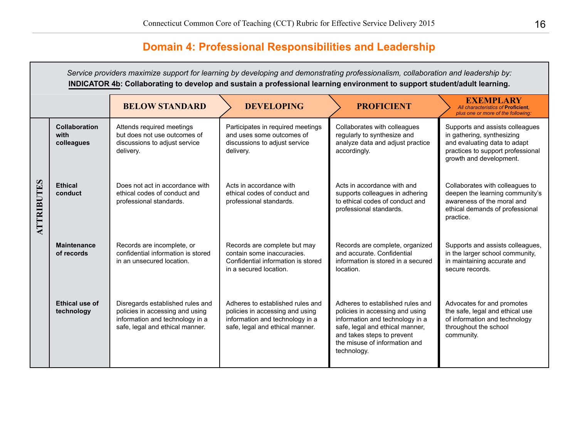# **Domain 4: Professional Responsibilities and Leadership**

*Service providers maximize support for learning by developing and demonstrating professionalism, collaboration and leadership by:* **INDICATOR 4b: Collaborating to develop and sustain a professional learning environment to support student/adult learning.**

|            |                                     | <b>BELOW STANDARD</b>                                                                                                                     | <b>DEVELOPING</b>                                                                                                                         | <b>PROFICIENT</b>                                                                                                                                                                                                       | <b>EXEMPLARY</b><br>All characteristics of Proficient.<br>plus one or more of the following:                                                                  |
|------------|-------------------------------------|-------------------------------------------------------------------------------------------------------------------------------------------|-------------------------------------------------------------------------------------------------------------------------------------------|-------------------------------------------------------------------------------------------------------------------------------------------------------------------------------------------------------------------------|---------------------------------------------------------------------------------------------------------------------------------------------------------------|
|            | Collaboration<br>with<br>colleagues | Attends required meetings<br>but does not use outcomes of<br>discussions to adjust service<br>delivery.                                   | Participates in required meetings<br>and uses some outcomes of<br>discussions to adjust service<br>delivery.                              | Collaborates with colleagues<br>regularly to synthesize and<br>analyze data and adjust practice<br>accordingly.                                                                                                         | Supports and assists colleagues<br>in gathering, synthesizing<br>and evaluating data to adapt<br>practices to support professional<br>growth and development. |
| ATTRIBUTES | <b>Ethical</b><br>conduct           | Does not act in accordance with<br>ethical codes of conduct and<br>professional standards.                                                | Acts in accordance with<br>ethical codes of conduct and<br>professional standards.                                                        | Acts in accordance with and<br>supports colleagues in adhering<br>to ethical codes of conduct and<br>professional standards.                                                                                            | Collaborates with colleagues to<br>deepen the learning community's<br>awareness of the moral and<br>ethical demands of professional<br>practice.              |
|            | <b>Maintenance</b><br>of records    | Records are incomplete, or<br>confidential information is stored<br>in an unsecured location.                                             | Records are complete but may<br>contain some inaccuracies.<br>Confidential information is stored<br>in a secured location.                | Records are complete, organized<br>and accurate. Confidential<br>information is stored in a secured<br>location.                                                                                                        | Supports and assists colleagues,<br>in the larger school community,<br>in maintaining accurate and<br>secure records.                                         |
|            | Ethical use of<br>technology        | Disregards established rules and<br>policies in accessing and using<br>information and technology in a<br>safe, legal and ethical manner. | Adheres to established rules and<br>policies in accessing and using<br>information and technology in a<br>safe, legal and ethical manner. | Adheres to established rules and<br>policies in accessing and using<br>information and technology in a<br>safe, legal and ethical manner,<br>and takes steps to prevent<br>the misuse of information and<br>technology. | Advocates for and promotes<br>the safe, legal and ethical use<br>of information and technology<br>throughout the school<br>community.                         |